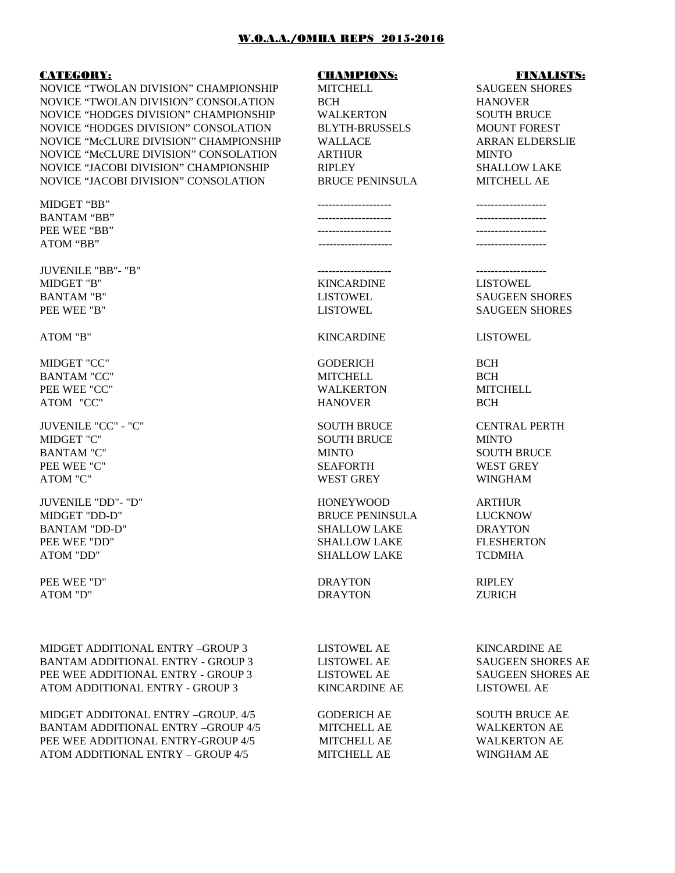## W.O.A.A./OMHA REPS 2015-2016

### CATEGORY: CHAMPIONS: FINALISTS:

NOVICE "TWOLAN DIVISION" CHAMPIONSHIP MITCHELL SAUGEEN SHORES NOVICE "TWOLAN DIVISION" CONSOLATION BCH HANOVER NOVICE "HODGES DIVISION" CHAMPIONSHIP WALKERTON SOUTH BRUCE NOVICE "HODGES DIVISION" CONSOLATION BLYTH-BRUSSELS MOUNT FOREST NOVICE "McCLURE DIVISION" CHAMPIONSHIP WALLACE ARRAN ELDERSLIE NOVICE "McCLURE DIVISION" CONSOLATION ARTHUR MINTO NOVICE "JACOBI DIVISION" CHAMPIONSHIP RIPLEY SHALLOW LAKE NOVICE "JACOBI DIVISION" CONSOLATION BRUCE PENINSULA MITCHELL AE

MIDGET "BB" -------------------- -------------------

JUVENILE "BB"- "B" -------------------- ------------------- MIDGET "B" KINCARDINE LISTOWEL BANTAM "B" LISTOWEL SAUGEEN SHORES PEE WEE "B" LISTOWEL SAUGEEN SHORES

MIDGET "CC" GODERICH BCH BANTAM "CC" MITCHELL BCH PEE WEE "CC" WALKERTON MITCHELL

JUVENILE "CC" - "C" SOUTH BRUCE CENTRAL PERTH MIDGET "C" SOUTH BRUCE MINTO BANTAM "C" MINTO SOUTH BRUCE PEE WEE "C" SEAFORTH WEST GREY ATOM "C" ATOM "C" ATOM "C" ATOM "C" ATOM "C" ATOM "C" ATOM "C" ATOM "C" ATOM "C

JUVENILE "DD"- "D" HONEYWOOD ARTHUR MIDGET "DD-D" BRUCE PENINSULA LUCKNOW BANTAM "DD-D" SHALLOW LAKE DRAYTON PEE WEE "DD" SHALLOW LAKE FLESHERTON

PEE WEE "D" DRAYTON DRAYTON RIPLEY

MIDGET ADDITIONAL ENTRY –GROUP 3 LISTOWEL AE KINCARDINE AE BANTAM ADDITIONAL ENTRY - GROUP 3 LISTOWEL AE SAUGEEN SHORES AE PEE WEE ADDITIONAL ENTRY - GROUP 3 LISTOWEL AE SAUGEEN SHORES AE ATOM ADDITIONAL ENTRY - GROUP 3 KINCARDINE AE LISTOWEL AE

MIDGET ADDITONAL ENTRY –GROUP. 4/5 GODERICH AE SOUTH BRUCE AE BANTAM ADDITIONAL ENTRY –GROUP 4/5 MITCHELL AE WALKERTON AE PEE WEE ADDITIONAL ENTRY-GROUP 4/5 MITCHELL AE WALKERTON AE ATOM ADDITIONAL ENTRY – GROUP 4/5 MITCHELL AE WINGHAM AE

BANTAM "BB" -------------------- ------------------- PEE WEE "BB" -------------------- ------------------- ATOM "BB" -------------------- -------------------

## ATOM "B" KINCARDINE LISTOWEL

ATOM "CC" HANOVER BCH

WEST GREY WINGHAM

ATOM "DD" SHALLOW LAKE TCDMHA

ATOM "D" DRAYTON ZURICH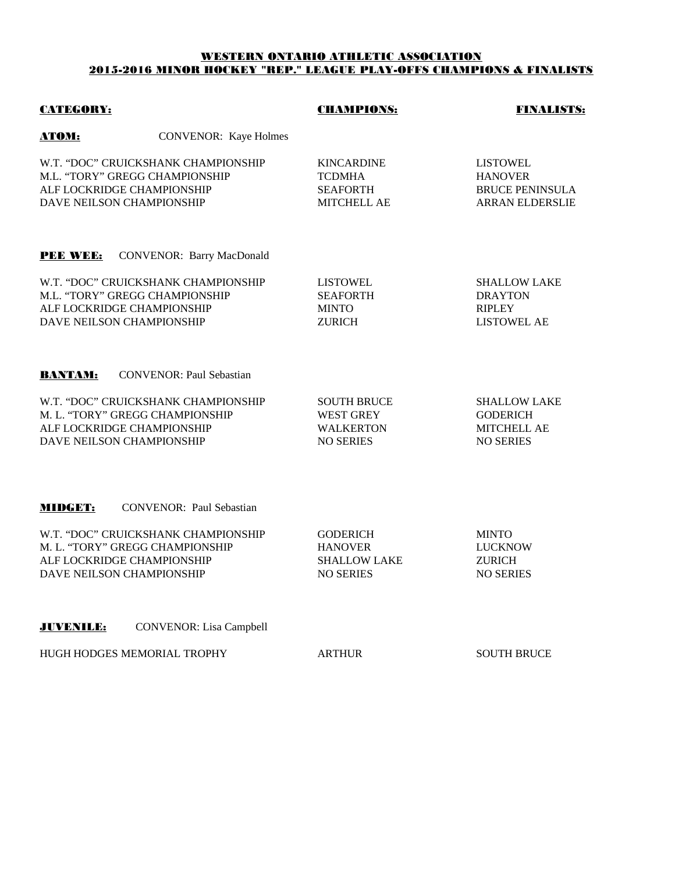# WESTERN ONTARIO ATHLETIC ASSOCIATION 2015-2016 MINOR HOCKEY "REP." LEAGUE PLAY-OFFS CHAMPIONS & FINALISTS

| <b>CATEGORY:</b>                                        |                                                                        | <b>CHAMPIONS:</b>                                                              | FINALISTS:                                                                     |  |
|---------------------------------------------------------|------------------------------------------------------------------------|--------------------------------------------------------------------------------|--------------------------------------------------------------------------------|--|
| <u>АТОМ:</u>                                            | <b>CONVENOR:</b> Kaye Holmes                                           |                                                                                |                                                                                |  |
| ALF LOCKRIDGE CHAMPIONSHIP<br>DAVE NEILSON CHAMPIONSHIP | W.T. "DOC" CRUICKSHANK CHAMPIONSHIP<br>M.L. "TORY" GREGG CHAMPIONSHIP  | <b>KINCARDINE</b><br><b>TCDMHA</b><br><b>SEAFORTH</b><br><b>MITCHELL AE</b>    | <b>LISTOWEL</b><br><b>HANOVER</b><br>BRUCE PENINSULA<br><b>ARRAN ELDERSLIE</b> |  |
| <b>PEE WEE:</b>                                         | <b>CONVENOR: Barry MacDonald</b>                                       |                                                                                |                                                                                |  |
| ALF LOCKRIDGE CHAMPIONSHIP<br>DAVE NEILSON CHAMPIONSHIP | W.T. "DOC" CRUICKSHANK CHAMPIONSHIP<br>M.L. "TORY" GREGG CHAMPIONSHIP  | <b>LISTOWEL</b><br><b>SEAFORTH</b><br><b>MINTO</b><br><b>ZURICH</b>            | <b>SHALLOW LAKE</b><br><b>DRAYTON</b><br><b>RIPLEY</b><br>LISTOWEL AE          |  |
| <b>BANTAM:</b>                                          | <b>CONVENOR: Paul Sebastian</b>                                        |                                                                                |                                                                                |  |
| ALF LOCKRIDGE CHAMPIONSHIP<br>DAVE NEILSON CHAMPIONSHIP | W.T. "DOC" CRUICKSHANK CHAMPIONSHIP<br>M. L. "TORY" GREGG CHAMPIONSHIP | <b>SOUTH BRUCE</b><br><b>WEST GREY</b><br><b>WALKERTON</b><br><b>NO SERIES</b> | <b>SHALLOW LAKE</b><br><b>GODERICH</b><br>MITCHELL AE<br><b>NO SERIES</b>      |  |
| MIDGET:                                                 | <b>CONVENOR: Paul Sebastian</b>                                        |                                                                                |                                                                                |  |
| ALF LOCKRIDGE CHAMPIONSHIP<br>DAVE NEILSON CHAMPIONSHIP | W.T. "DOC" CRUICKSHANK CHAMPIONSHIP<br>M. L. "TORY" GREGG CHAMPIONSHIP | <b>GODERICH</b><br><b>HANOVER</b><br><b>SHALLOW LAKE</b><br><b>NO SERIES</b>   | <b>MINTO</b><br><b>LUCKNOW</b><br><b>ZURICH</b><br><b>NO SERIES</b>            |  |
| <b>JUVENILE:</b>                                        | <b>CONVENOR:</b> Lisa Campbell                                         |                                                                                |                                                                                |  |
|                                                         | HUGH HODGES MEMORIAL TROPHY                                            | <b>ARTHUR</b>                                                                  | <b>SOUTH BRUCE</b>                                                             |  |